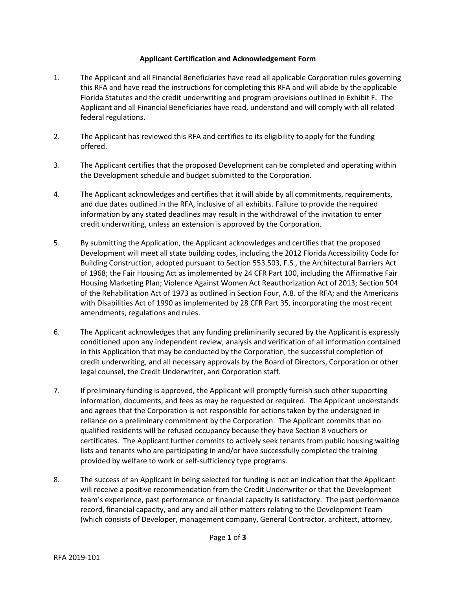## **Applicant Certification and Acknowledgement Form**

- 1. The Applicant and all Financial Beneficiaries have read all applicable Corporation rules governing this RFA and have read the instructions for completing this RFA and will abide by the applicable Florida Statutes and the credit underwriting and program provisions outlined in Exhibit F. The Applicant and all Financial Beneficiaries have read, understand and will comply with all related federal regulations.
- 2. The Applicant has reviewed this RFA and certifies to its eligibility to apply for the funding offered.
- 3. The Applicant certifies that the proposed Development can be completed and operating within the Development schedule and budget submitted to the Corporation.
- 4. The Applicant acknowledges and certifies that it will abide by all commitments, requirements, and due dates outlined in the RFA, inclusive of all exhibits. Failure to provide the required information by any stated deadlines may result in the withdrawal of the invitation to enter credit underwriting, unless an extension is approved by the Corporation.
- 5. By submitting the Application, the Applicant acknowledges and certifies that the proposed Development will meet all state building codes, including the 2012 Florida Accessibility Code for Building Construction, adopted pursuant to Section 553.503, F.S., the Architectural Barriers Act of 1968; the Fair Housing Act as implemented by 24 CFR Part 100, including the Affirmative Fair Housing Marketing Plan; Violence Against Women Act Reauthorization Act of 2013; Section 504 of the Rehabilitation Act of 1973 as outlined in Section Four, A.8. of the RFA; and the Americans with Disabilities Act of 1990 as implemented by 28 CFR Part 35, incorporating the most recent amendments, regulations and rules.
- 6. The Applicant acknowledges that any funding preliminarily secured by the Applicant is expressly conditioned upon any independent review, analysis and verification of all information contained in this Application that may be conducted by the Corporation, the successful completion of credit underwriting, and all necessary approvals by the Board of Directors, Corporation or other legal counsel, the Credit Underwriter, and Corporation staff.
- 7. If preliminary funding is approved, the Applicant will promptly furnish such other supporting information, documents, and fees as may be requested or required. The Applicant understands and agrees that the Corporation is not responsible for actions taken by the undersigned in reliance on a preliminary commitment by the Corporation. The Applicant commits that no qualified residents will be refused occupancy because they have Section 8 vouchers or certificates. The Applicant further commits to actively seek tenants from public housing waiting lists and tenants who are participating in and/or have successfully completed the training provided by welfare to work or self-sufficiency type programs.
- 8. The success of an Applicant in being selected for funding is not an indication that the Applicant will receive a positive recommendation from the Credit Underwriter or that the Development team's experience, past performance or financial capacity is satisfactory. The past performance record, financial capacity, and any and all other matters relating to the Development Team (which consists of Developer, management company, General Contractor, architect, attorney,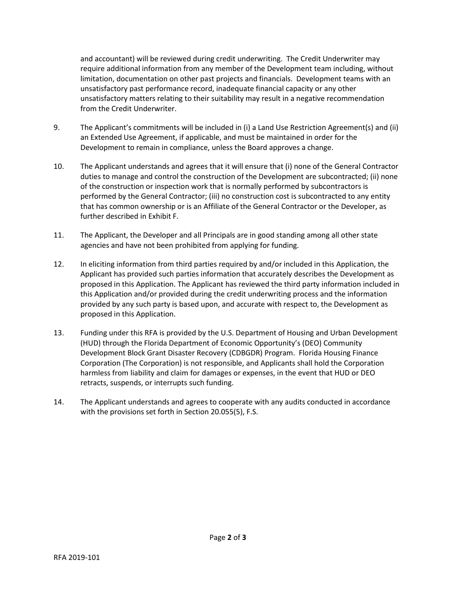and accountant) will be reviewed during credit underwriting. The Credit Underwriter may require additional information from any member of the Development team including, without limitation, documentation on other past projects and financials. Development teams with an unsatisfactory past performance record, inadequate financial capacity or any other unsatisfactory matters relating to their suitability may result in a negative recommendation from the Credit Underwriter.

- 9. The Applicant's commitments will be included in (i) a Land Use Restriction Agreement(s) and (ii) an Extended Use Agreement, if applicable, and must be maintained in order for the Development to remain in compliance, unless the Board approves a change.
- 10. The Applicant understands and agrees that it will ensure that (i) none of the General Contractor duties to manage and control the construction of the Development are subcontracted; (ii) none of the construction or inspection work that is normally performed by subcontractors is performed by the General Contractor; (iii) no construction cost is subcontracted to any entity that has common ownership or is an Affiliate of the General Contractor or the Developer, as further described in Exhibit F.
- 11. The Applicant, the Developer and all Principals are in good standing among all other state agencies and have not been prohibited from applying for funding.
- 12. In eliciting information from third parties required by and/or included in this Application, the Applicant has provided such parties information that accurately describes the Development as proposed in this Application. The Applicant has reviewed the third party information included in this Application and/or provided during the credit underwriting process and the information provided by any such party is based upon, and accurate with respect to, the Development as proposed in this Application.
- 13. Funding under this RFA is provided by the U.S. Department of Housing and Urban Development (HUD) through the Florida Department of Economic Opportunity's (DEO) Community Development Block Grant Disaster Recovery (CDBGDR) Program. Florida Housing Finance Corporation (The Corporation) is not responsible, and Applicants shall hold the Corporation harmless from liability and claim for damages or expenses, in the event that HUD or DEO retracts, suspends, or interrupts such funding.
- 14. The Applicant understands and agrees to cooperate with any audits conducted in accordance with the provisions set forth in Section 20.055(5), F.S.